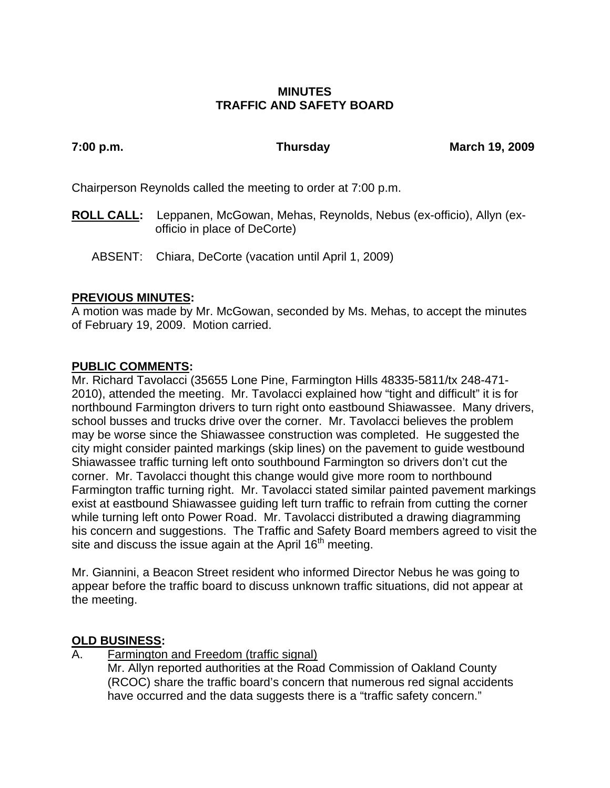# **MINUTES TRAFFIC AND SAFETY BOARD**

**7:00 p.m. Thursday March 19, 2009** 

Chairperson Reynolds called the meeting to order at 7:00 p.m.

- **ROLL CALL:** Leppanen, McGowan, Mehas, Reynolds, Nebus (ex-officio), Allyn (exofficio in place of DeCorte)
	- ABSENT: Chiara, DeCorte (vacation until April 1, 2009)

# **PREVIOUS MINUTES:**

A motion was made by Mr. McGowan, seconded by Ms. Mehas, to accept the minutes of February 19, 2009. Motion carried.

# **PUBLIC COMMENTS:**

Mr. Richard Tavolacci (35655 Lone Pine, Farmington Hills 48335-5811/tx 248-471- 2010), attended the meeting. Mr. Tavolacci explained how "tight and difficult" it is for northbound Farmington drivers to turn right onto eastbound Shiawassee. Many drivers, school busses and trucks drive over the corner. Mr. Tavolacci believes the problem may be worse since the Shiawassee construction was completed. He suggested the city might consider painted markings (skip lines) on the pavement to guide westbound Shiawassee traffic turning left onto southbound Farmington so drivers don't cut the corner. Mr. Tavolacci thought this change would give more room to northbound Farmington traffic turning right. Mr. Tavolacci stated similar painted pavement markings exist at eastbound Shiawassee guiding left turn traffic to refrain from cutting the corner while turning left onto Power Road. Mr. Tavolacci distributed a drawing diagramming his concern and suggestions. The Traffic and Safety Board members agreed to visit the site and discuss the issue again at the April 16<sup>th</sup> meeting.

Mr. Giannini, a Beacon Street resident who informed Director Nebus he was going to appear before the traffic board to discuss unknown traffic situations, did not appear at the meeting.

## **OLD BUSINESS:**

A. Farmington and Freedom (traffic signal)

Mr. Allyn reported authorities at the Road Commission of Oakland County (RCOC) share the traffic board's concern that numerous red signal accidents have occurred and the data suggests there is a "traffic safety concern."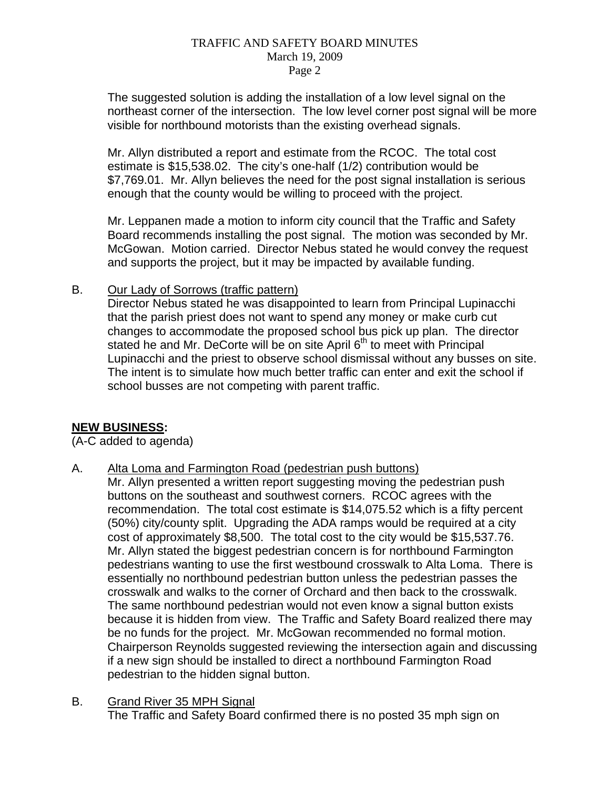### TRAFFIC AND SAFETY BOARD MINUTES March 19, 2009 Page 2

The suggested solution is adding the installation of a low level signal on the northeast corner of the intersection. The low level corner post signal will be more visible for northbound motorists than the existing overhead signals.

Mr. Allyn distributed a report and estimate from the RCOC. The total cost estimate is \$15,538.02. The city's one-half (1/2) contribution would be \$7,769.01. Mr. Allyn believes the need for the post signal installation is serious enough that the county would be willing to proceed with the project.

Mr. Leppanen made a motion to inform city council that the Traffic and Safety Board recommends installing the post signal. The motion was seconded by Mr. McGowan. Motion carried. Director Nebus stated he would convey the request and supports the project, but it may be impacted by available funding.

# B. Our Lady of Sorrows (traffic pattern)

Director Nebus stated he was disappointed to learn from Principal Lupinacchi that the parish priest does not want to spend any money or make curb cut changes to accommodate the proposed school bus pick up plan. The director stated he and Mr. DeCorte will be on site April 6<sup>th</sup> to meet with Principal Lupinacchi and the priest to observe school dismissal without any busses on site. The intent is to simulate how much better traffic can enter and exit the school if school busses are not competing with parent traffic.

## **NEW BUSINESS:**

(A-C added to agenda)

A. Alta Loma and Farmington Road (pedestrian push buttons)

Mr. Allyn presented a written report suggesting moving the pedestrian push buttons on the southeast and southwest corners. RCOC agrees with the recommendation. The total cost estimate is \$14,075.52 which is a fifty percent (50%) city/county split. Upgrading the ADA ramps would be required at a city cost of approximately \$8,500. The total cost to the city would be \$15,537.76. Mr. Allyn stated the biggest pedestrian concern is for northbound Farmington pedestrians wanting to use the first westbound crosswalk to Alta Loma. There is essentially no northbound pedestrian button unless the pedestrian passes the crosswalk and walks to the corner of Orchard and then back to the crosswalk. The same northbound pedestrian would not even know a signal button exists because it is hidden from view. The Traffic and Safety Board realized there may be no funds for the project. Mr. McGowan recommended no formal motion. Chairperson Reynolds suggested reviewing the intersection again and discussing if a new sign should be installed to direct a northbound Farmington Road pedestrian to the hidden signal button.

B. Grand River 35 MPH Signal The Traffic and Safety Board confirmed there is no posted 35 mph sign on